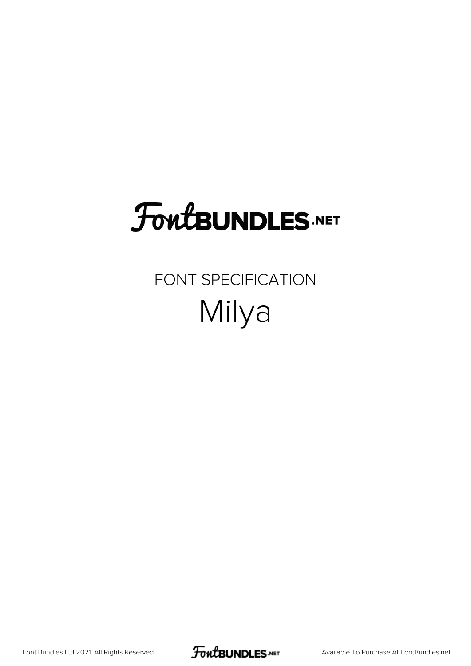# FoutBUNDLES.NET

## FONT SPECIFICATION Milya

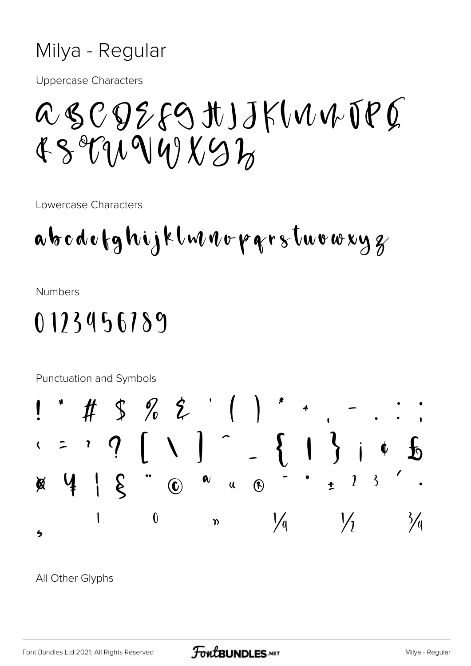#### Milya - Regular

**Uppercase Characters** 

## ascozfgtJJKWWJPQ  $439719191977$

Lowercase Characters

**Numbers** 

### $0123456189$



All Other Glyphs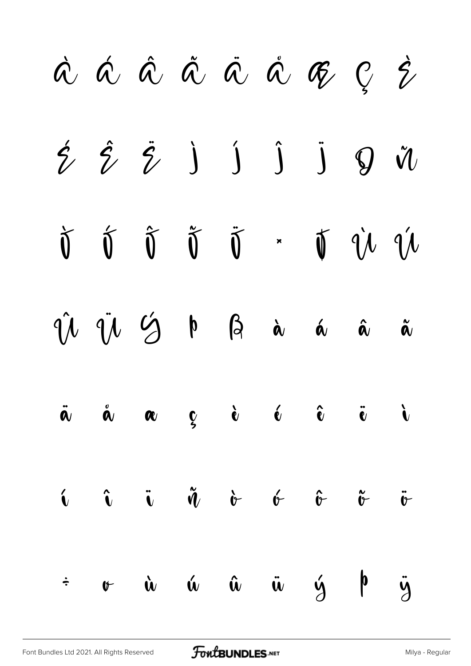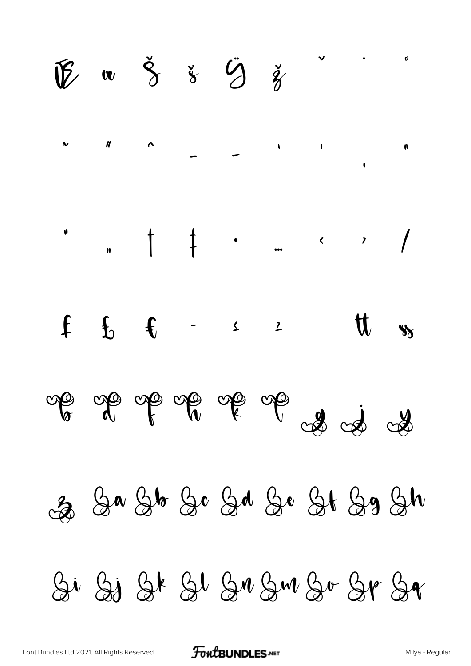